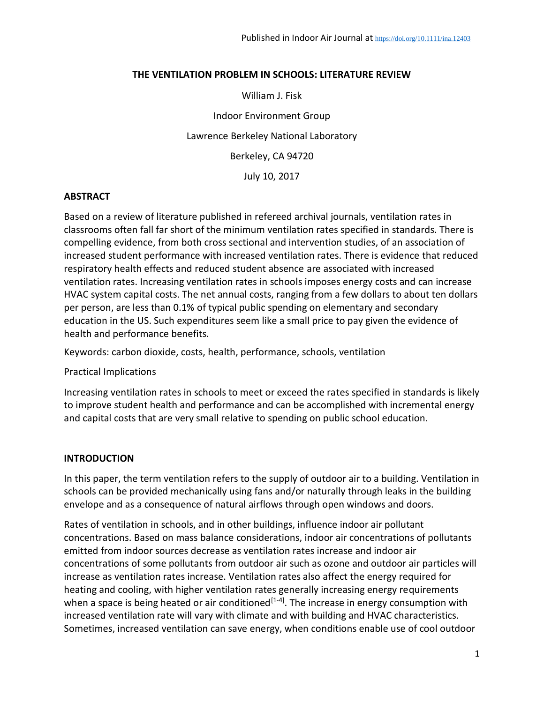#### **THE VENTILATION PROBLEM IN SCHOOLS: LITERATURE REVIEW**

William J. Fisk Indoor Environment Group Lawrence Berkeley National Laboratory Berkeley, CA 94720 July 10, 2017

#### **ABSTRACT**

Based on a review of literature published in refereed archival journals, ventilation rates in classrooms often fall far short of the minimum ventilation rates specified in standards. There is compelling evidence, from both cross sectional and intervention studies, of an association of increased student performance with increased ventilation rates. There is evidence that reduced respiratory health effects and reduced student absence are associated with increased ventilation rates. Increasing ventilation rates in schools imposes energy costs and can increase HVAC system capital costs. The net annual costs, ranging from a few dollars to about ten dollars per person, are less than 0.1% of typical public spending on elementary and secondary education in the US. Such expenditures seem like a small price to pay given the evidence of health and performance benefits.

Keywords: carbon dioxide, costs, health, performance, schools, ventilation

Practical Implications

Increasing ventilation rates in schools to meet or exceed the rates specified in standards is likely to improve student health and performance and can be accomplished with incremental energy and capital costs that are very small relative to spending on public school education.

### **INTRODUCTION**

In this paper, the term ventilation refers to the supply of outdoor air to a building. Ventilation in schools can be provided mechanically using fans and/or naturally through leaks in the building envelope and as a consequence of natural airflows through open windows and doors.

Rates of ventilation in schools, and in other buildings, influence indoor air pollutant concentrations. Based on mass balance considerations, indoor air concentrations of pollutants emitted from indoor sources decrease as ventilation rates increase and indoor air concentrations of some pollutants from outdoor air such as ozone and outdoor air particles will increase as ventilation rates increase. Ventilation rates also affect the energy required for heating and cooling, with higher ventilation rates generally increasing energy requirements when a space is being heated or air conditioned<sup>[1-4]</sup>. The increase in energy consumption with increased ventilation rate will vary with climate and with building and HVAC characteristics. Sometimes, increased ventilation can save energy, when conditions enable use of cool outdoor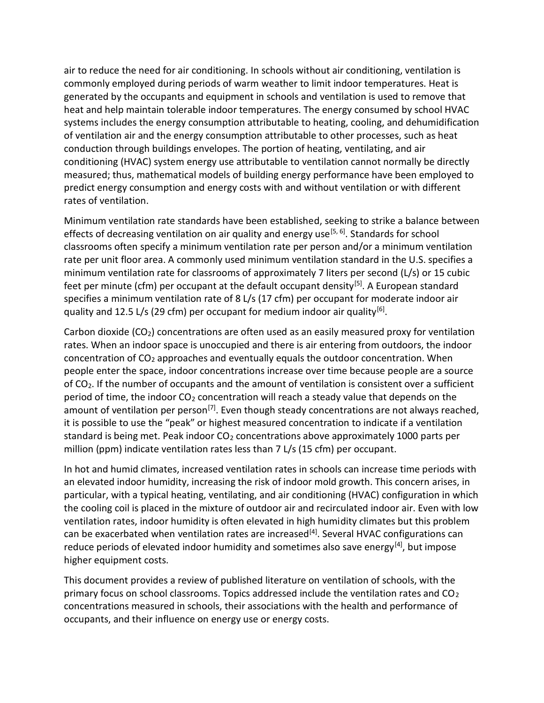air to reduce the need for air conditioning. In schools without air conditioning, ventilation is commonly employed during periods of warm weather to limit indoor temperatures. Heat is generated by the occupants and equipment in schools and ventilation is used to remove that heat and help maintain tolerable indoor temperatures. The energy consumed by school HVAC systems includes the energy consumption attributable to heating, cooling, and dehumidification of ventilation air and the energy consumption attributable to other processes, such as heat conduction through buildings envelopes. The portion of heating, ventilating, and air conditioning (HVAC) system energy use attributable to ventilation cannot normally be directly measured; thus, mathematical models of building energy performance have been employed to predict energy consumption and energy costs with and without ventilation or with different rates of ventilation.

Minimum ventilation rate standards have been established, seeking to strike a balance between effects of decreasing ventilation on air quality and energy use<sup>[5, 6]</sup>. Standards for school classrooms often specify a minimum ventilation rate per person and/or a minimum ventilation rate per unit floor area. A commonly used minimum ventilation standard in the U.S. specifies a minimum ventilation rate for classrooms of approximately 7 liters per second (L/s) or 15 cubic feet per minute (cfm) per occupant at the default occupant density<sup>[5]</sup>. A European standard specifies a minimum ventilation rate of 8 L/s (17 cfm) per occupant for moderate indoor air quality and 12.5 L/s (29 cfm) per occupant for medium indoor air quality<sup>[6]</sup>.

Carbon dioxide ( $CO<sub>2</sub>$ ) concentrations are often used as an easily measured proxy for ventilation rates. When an indoor space is unoccupied and there is air entering from outdoors, the indoor concentration of  $CO<sub>2</sub>$  approaches and eventually equals the outdoor concentration. When people enter the space, indoor concentrations increase over time because people are a source of CO2. If the number of occupants and the amount of ventilation is consistent over a sufficient period of time, the indoor  $CO<sub>2</sub>$  concentration will reach a steady value that depends on the amount of ventilation per person<sup>[7]</sup>. Even though steady concentrations are not always reached, it is possible to use the "peak" or highest measured concentration to indicate if a ventilation standard is being met. Peak indoor  $CO<sub>2</sub>$  concentrations above approximately 1000 parts per million (ppm) indicate ventilation rates less than 7 L/s (15 cfm) per occupant.

In hot and humid climates, increased ventilation rates in schools can increase time periods with an elevated indoor humidity, increasing the risk of indoor mold growth. This concern arises, in particular, with a typical heating, ventilating, and air conditioning (HVAC) configuration in which the cooling coil is placed in the mixture of outdoor air and recirculated indoor air. Even with low ventilation rates, indoor humidity is often elevated in high humidity climates but this problem can be exacerbated when ventilation rates are increased<sup>[4]</sup>. Several HVAC configurations can reduce periods of elevated indoor humidity and sometimes also save energy<sup>[4]</sup>, but impose higher equipment costs.

This document provides a review of published literature on ventilation of schools, with the primary focus on school classrooms. Topics addressed include the ventilation rates and  $CO<sub>2</sub>$ concentrations measured in schools, their associations with the health and performance of occupants, and their influence on energy use or energy costs.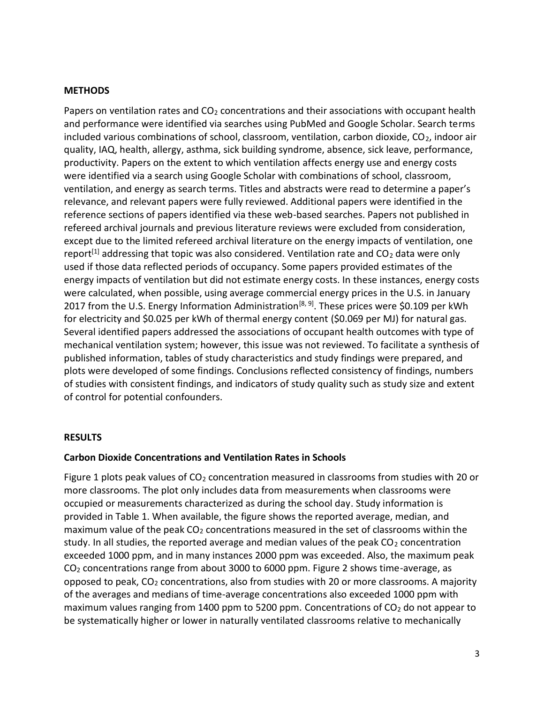#### **METHODS**

Papers on ventilation rates and  $CO<sub>2</sub>$  concentrations and their associations with occupant health and performance were identified via searches using PubMed and Google Scholar. Search terms included various combinations of school, classroom, ventilation, carbon dioxide,  $CO<sub>2</sub>$ , indoor air quality, IAQ, health, allergy, asthma, sick building syndrome, absence, sick leave, performance, productivity. Papers on the extent to which ventilation affects energy use and energy costs were identified via a search using Google Scholar with combinations of school, classroom, ventilation, and energy as search terms. Titles and abstracts were read to determine a paper's relevance, and relevant papers were fully reviewed. Additional papers were identified in the reference sections of papers identified via these web-based searches. Papers not published in refereed archival journals and previous literature reviews were excluded from consideration, except due to the limited refereed archival literature on the energy impacts of ventilation, one report<sup>[1]</sup> addressing that topic was also considered. Ventilation rate and  $CO<sub>2</sub>$  data were only used if those data reflected periods of occupancy. Some papers provided estimates of the energy impacts of ventilation but did not estimate energy costs. In these instances, energy costs were calculated, when possible, using average commercial energy prices in the U.S. in January 2017 from the U.S. Energy Information Administration<sup>[8, 9]</sup>. These prices were \$0.109 per kWh for electricity and \$0.025 per kWh of thermal energy content (\$0.069 per MJ) for natural gas. Several identified papers addressed the associations of occupant health outcomes with type of mechanical ventilation system; however, this issue was not reviewed. To facilitate a synthesis of published information, tables of study characteristics and study findings were prepared, and plots were developed of some findings. Conclusions reflected consistency of findings, numbers of studies with consistent findings, and indicators of study quality such as study size and extent of control for potential confounders.

#### **RESULTS**

### **Carbon Dioxide Concentrations and Ventilation Rates in Schools**

Figure 1 plots peak values of  $CO<sub>2</sub>$  concentration measured in classrooms from studies with 20 or more classrooms. The plot only includes data from measurements when classrooms were occupied or measurements characterized as during the school day. Study information is provided in Table 1. When available, the figure shows the reported average, median, and maximum value of the peak  $CO<sub>2</sub>$  concentrations measured in the set of classrooms within the study. In all studies, the reported average and median values of the peak  $CO<sub>2</sub>$  concentration exceeded 1000 ppm, and in many instances 2000 ppm was exceeded. Also, the maximum peak  $CO<sub>2</sub>$  concentrations range from about 3000 to 6000 ppm. Figure 2 shows time-average, as opposed to peak,  $CO<sub>2</sub>$  concentrations, also from studies with 20 or more classrooms. A majority of the averages and medians of time-average concentrations also exceeded 1000 ppm with maximum values ranging from 1400 ppm to 5200 ppm. Concentrations of  $CO<sub>2</sub>$  do not appear to be systematically higher or lower in naturally ventilated classrooms relative to mechanically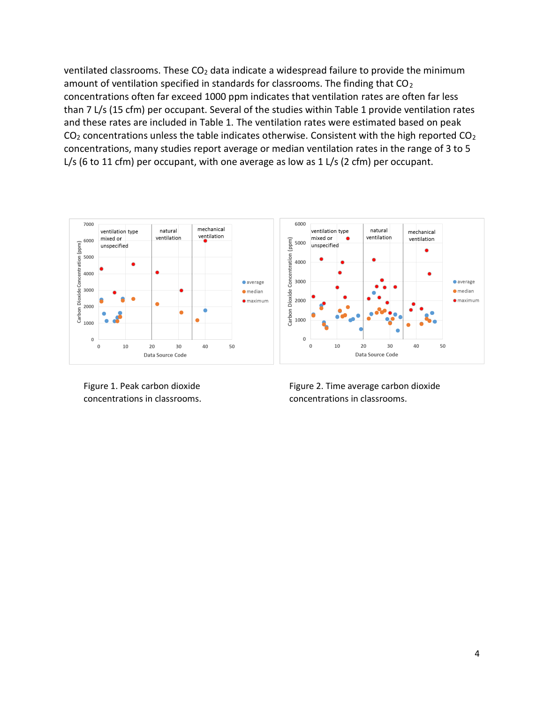ventilated classrooms. These  $CO<sub>2</sub>$  data indicate a widespread failure to provide the minimum amount of ventilation specified in standards for classrooms. The finding that  $CO<sub>2</sub>$ concentrations often far exceed 1000 ppm indicates that ventilation rates are often far less than 7 L/s (15 cfm) per occupant. Several of the studies within Table 1 provide ventilation rates and these rates are included in Table 1. The ventilation rates were estimated based on peak CO<sub>2</sub> concentrations unless the table indicates otherwise. Consistent with the high reported CO<sub>2</sub> concentrations, many studies report average or median ventilation rates in the range of 3 to 5 L/s (6 to 11 cfm) per occupant, with one average as low as 1 L/s (2 cfm) per occupant.



Figure 1. Peak carbon dioxide concentrations in classrooms.

Figure 2. Time average carbon dioxide concentrations in classrooms.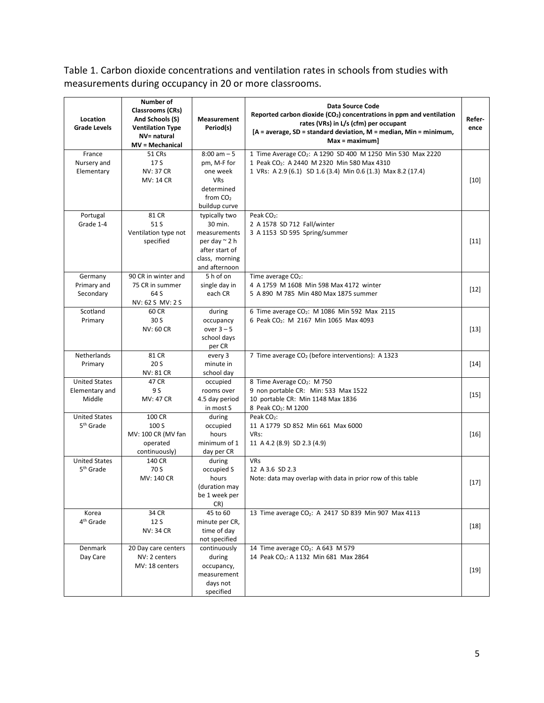Table 1. Carbon dioxide concentrations and ventilation rates in schools from studies with measurements during occupancy in 20 or more classrooms.

| Location<br><b>Grade Levels</b>                  | Number of<br><b>Classrooms (CRs)</b><br>And Schools (S)<br><b>Ventilation Type</b><br>NV= natural<br><b>MV = Mechanical</b> | <b>Measurement</b><br>Period(s)                                                                                     | Data Source Code<br>Reported carbon dioxide (CO <sub>2</sub> ) concentrations in ppm and ventilation<br>rates (VRs) in L/s (cfm) per occupant<br>$[A = average, SD = standard deviation, M = median, Min = minimum,$<br>$Max = maximum$ ] |        |
|--------------------------------------------------|-----------------------------------------------------------------------------------------------------------------------------|---------------------------------------------------------------------------------------------------------------------|-------------------------------------------------------------------------------------------------------------------------------------------------------------------------------------------------------------------------------------------|--------|
| France<br>Nursery and<br>Elementary              | <b>51 CRs</b><br>17 S<br><b>NV: 37 CR</b><br><b>MV: 14 CR</b>                                                               | $8:00$ am $-5$<br>pm, M-F for<br>one week<br><b>VRs</b><br>determined<br>from $CO2$<br>buildup curve                | 1 Time Average CO <sub>2</sub> : A 1290 SD 400 M 1250 Min 530 Max 2220<br>1 Peak CO <sub>2</sub> : A 2440 M 2320 Min 580 Max 4310<br>1 VRs: A 2.9 (6.1) SD 1.6 (3.4) Min 0.6 (1.3) Max 8.2 (17.4)                                         |        |
| Portugal<br>Grade 1-4                            | 81 CR<br>51 S<br>Ventilation type not<br>specified                                                                          | typically two<br>30 min.<br>measurements<br>per day $\sim$ 2 h<br>after start of<br>class, morning<br>and afternoon | Peak CO <sub>2</sub> :<br>2 A 1578 SD 712 Fall/winter<br>3 A 1153 SD 595 Spring/summer                                                                                                                                                    | $[11]$ |
| Germany<br>Primary and<br>Secondary              | 90 CR in winter and<br>75 CR in summer<br>64 S<br>NV: 62 S MV: 2 S                                                          | 5 h of on<br>single day in<br>each CR                                                                               | Time average CO <sub>2</sub> :<br>4 A 1759 M 1608 Min 598 Max 4172 winter<br>5 A 890 M 785 Min 480 Max 1875 summer                                                                                                                        | $[12]$ |
| Scotland<br>Primary                              | 60 CR<br>30 S<br><b>NV: 60 CR</b>                                                                                           | during<br>occupancy<br>over $3 - 5$<br>school days<br>per CR                                                        | 6 Time average CO <sub>2</sub> : M 1086 Min 592 Max 2115<br>6 Peak CO <sub>2</sub> : M 2167 Min 1065 Max 4093                                                                                                                             | $[13]$ |
| Netherlands<br>Primary                           | 81 CR<br>20 S<br><b>NV: 81 CR</b>                                                                                           | every 3<br>minute in<br>school day                                                                                  | 7 Time average $CO2$ (before interventions): A 1323                                                                                                                                                                                       | $[14]$ |
| <b>United States</b><br>Elementary and<br>Middle | 47 CR<br>9 S<br><b>MV: 47 CR</b>                                                                                            | occupied<br>rooms over<br>4.5 day period<br>in most S                                                               | 8 Time Average CO <sub>2</sub> : M 750<br>9 non portable CR: Min: 533 Max 1522<br>10 portable CR: Min 1148 Max 1836<br>8 Peak CO <sub>2</sub> : M 1200                                                                                    | $[15]$ |
| <b>United States</b><br>5 <sup>th</sup> Grade    | 100 CR<br>100 S<br>MV: 100 CR (MV fan<br>operated<br>continuously)                                                          | during<br>occupied<br>hours<br>minimum of 1<br>day per CR                                                           | Peak CO <sub>2</sub> :<br>11 A 1779 SD 852 Min 661 Max 6000<br>VRs:<br>11 A 4.2 (8.9) SD 2.3 (4.9)                                                                                                                                        | $[16]$ |
| <b>United States</b><br>5 <sup>th</sup> Grade    | 140 CR<br>70 S<br><b>MV: 140 CR</b>                                                                                         | during<br>occupied S<br>hours<br>(duration may<br>be 1 week per<br>CR)                                              | <b>VRs</b><br>12 A 3.6 SD 2.3<br>Note: data may overlap with data in prior row of this table                                                                                                                                              |        |
| Korea<br>4 <sup>th</sup> Grade                   | 34 CR<br>12 S<br><b>NV: 34 CR</b>                                                                                           | 45 to 60<br>minute per CR,<br>time of day<br>not specified                                                          | 13 Time average CO <sub>2</sub> : A 2417 SD 839 Min 907 Max 4113                                                                                                                                                                          | $[18]$ |
| Denmark<br>Day Care                              | 20 Day care centers<br>NV: 2 centers<br>MV: 18 centers                                                                      | continuously<br>during<br>occupancy,<br>measurement<br>days not<br>specified                                        | 14 Time average CO <sub>2</sub> : A 643 M 579<br>14 Peak CO <sub>2</sub> : A 1132 Min 681 Max 2864                                                                                                                                        | $[19]$ |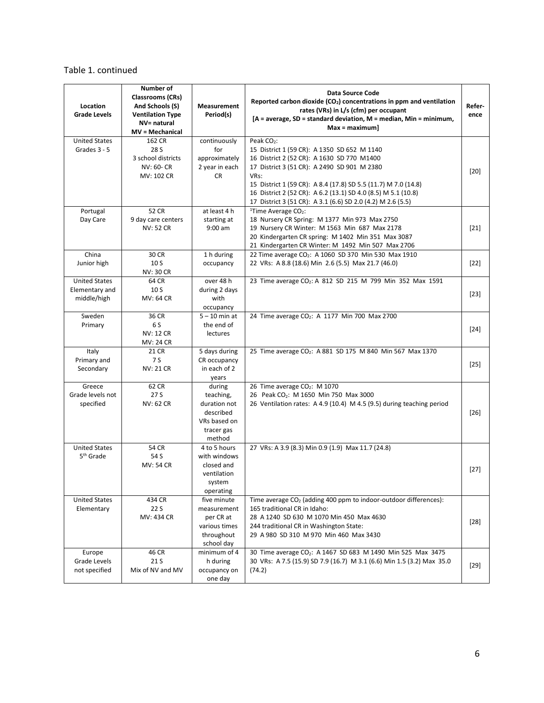#### Table 1. continued

| Location<br><b>Grade Levels</b>                       | Number of<br><b>Classrooms (CRs)</b><br>And Schools (S)<br><b>Ventilation Type</b><br>NV= natural<br><b>MV</b> = Mechanical | Measurement<br>Period(s)                                                                 | Data Source Code<br>Reported carbon dioxide $(CO2)$ concentrations in ppm and ventilation<br>rates (VRs) in L/s (cfm) per occupant<br>$[A = average, SD = standard deviation, M = median, Min = minimum,$<br>Max = maximum]                                                                                                                                                  |        |
|-------------------------------------------------------|-----------------------------------------------------------------------------------------------------------------------------|------------------------------------------------------------------------------------------|------------------------------------------------------------------------------------------------------------------------------------------------------------------------------------------------------------------------------------------------------------------------------------------------------------------------------------------------------------------------------|--------|
| <b>United States</b><br>Grades 3 - 5                  | 162 CR<br>28 S<br>3 school districts<br>NV: 60- CR<br>MV: 102 CR                                                            | continuously<br>for<br>approximately<br>2 year in each<br><b>CR</b>                      | Peak CO <sub>2</sub> :<br>15 District 1 (59 CR): A 1350 SD 652 M 1140<br>16 District 2 (52 CR): A 1630 SD 770 M1400<br>17 District 3 (51 CR): A 2490 SD 901 M 2380<br>VRs:<br>15 District 1 (59 CR): A 8.4 (17.8) SD 5.5 (11.7) M 7.0 (14.8)<br>16 District 2 (52 CR): A 6.2 (13.1) SD 4.0 (8.5) M 5.1 (10.8)<br>17 District 3 (51 CR): A 3.1 (6.6) SD 2.0 (4.2) M 2.6 (5.5) | $[20]$ |
| Portugal<br>Day Care                                  | 52 CR<br>9 day care centers<br><b>NV: 52 CR</b>                                                                             | at least 4 h<br>starting at<br>$9:00$ am                                                 | <sup>1</sup> Time Average $CO2$ :<br>18 Nursery CR Spring: M 1377 Min 973 Max 2750<br>19 Nursery CR Winter: M 1563 Min 687 Max 2178<br>20 Kindergarten CR spring: M 1402 Min 351 Max 3087<br>21 Kindergarten CR Winter: M 1492 Min 507 Max 2706                                                                                                                              | $[21]$ |
| China<br>Junior high                                  | 30 CR<br>10 <sub>S</sub><br><b>NV: 30 CR</b>                                                                                | 1 h during<br>occupancy                                                                  | 22 Time average CO <sub>2</sub> : A 1060 SD 370 Min 530 Max 1910<br>22 VRs: A 8.8 (18.6) Min 2.6 (5.5) Max 21.7 (46.0)                                                                                                                                                                                                                                                       | $[22]$ |
| <b>United States</b><br>Elementary and<br>middle/high | 64 CR<br>10 <sub>S</sub><br><b>MV: 64 CR</b>                                                                                | over 48 h<br>during 2 days<br>with<br>occupancy                                          | 23 Time average CO <sub>2</sub> : A 812 SD 215 M 799 Min 352 Max 1591                                                                                                                                                                                                                                                                                                        | $[23]$ |
| Sweden<br>Primary                                     | 36 CR<br>6 S<br><b>NV: 12 CR</b><br><b>MV: 24 CR</b>                                                                        | $5 - 10$ min at<br>the end of<br>lectures                                                | 24 Time average CO <sub>2</sub> : A 1177 Min 700 Max 2700                                                                                                                                                                                                                                                                                                                    | $[24]$ |
| Italy<br>Primary and<br>Secondary                     | 21 CR<br>7 S<br><b>NV: 21 CR</b>                                                                                            | 5 days during<br>CR occupancy<br>in each of 2<br>years                                   | 25 Time average CO <sub>2</sub> : A 881 SD 175 M 840 Min 567 Max 1370                                                                                                                                                                                                                                                                                                        | $[25]$ |
| Greece<br>Grade levels not<br>specified               | 62 CR<br>27S<br><b>NV: 62 CR</b>                                                                                            | during<br>teaching,<br>duration not<br>described<br>VRs based on<br>tracer gas<br>method | 26 Time average CO <sub>2</sub> : M 1070<br>26 Peak CO <sub>2</sub> : M 1650 Min 750 Max 3000<br>26 Ventilation rates: A 4.9 (10.4) M 4.5 (9.5) during teaching period                                                                                                                                                                                                       | $[26]$ |
| <b>United States</b><br>5 <sup>th</sup> Grade         | 54 CR<br>54 S<br><b>MV: 54 CR</b>                                                                                           | 4 to 5 hours<br>with windows<br>closed and<br>ventilation<br>system<br>operating         | 27 VRs: A 3.9 (8.3) Min 0.9 (1.9) Max 11.7 (24.8)                                                                                                                                                                                                                                                                                                                            | $[27]$ |
| <b>United States</b><br>Elementary                    | 434 CR<br>22 S<br>MV: 434 CR                                                                                                | five minute<br>measurement<br>per CR at<br>various times<br>throughout<br>school day     | Time average $CO2$ (adding 400 ppm to indoor-outdoor differences):<br>165 traditional CR in Idaho:<br>28 A 1240 SD 630 M 1070 Min 450 Max 4630<br>244 traditional CR in Washington State:<br>29 A 980 SD 310 M 970 Min 460 Max 3430                                                                                                                                          | $[28]$ |
| Europe<br>Grade Levels<br>not specified               | 46 CR<br>21 S<br>Mix of NV and MV                                                                                           | minimum of 4<br>h during<br>occupancy on<br>one day                                      | 30 Time average CO <sub>2</sub> : A 1467 SD 683 M 1490 Min 525 Max 3475<br>30 VRs: A 7.5 (15.9) SD 7.9 (16.7) M 3.1 (6.6) Min 1.5 (3.2) Max 35.0<br>(74.2)                                                                                                                                                                                                                   | $[29]$ |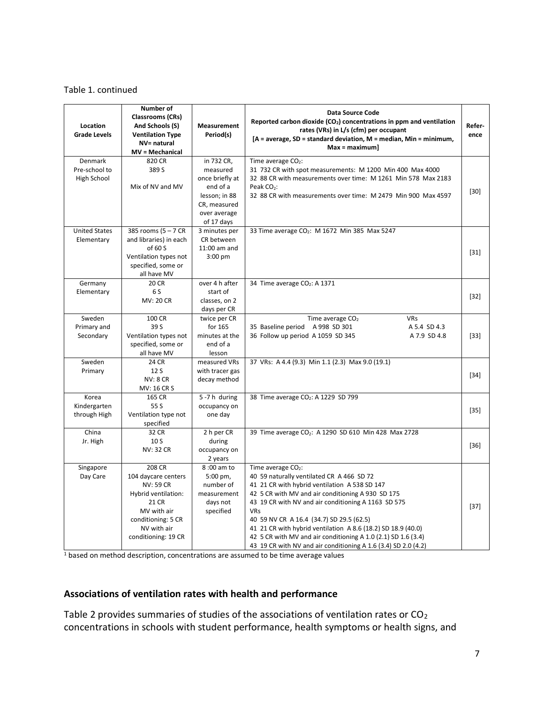#### Table 1. continued

| Location<br><b>Grade Levels</b>         | Number of<br><b>Classrooms (CRs)</b><br>And Schools (S)<br><b>Ventilation Type</b><br>NV= natural<br><b>MV</b> = Mechanical                                  | <b>Measurement</b><br>Period(s)                                                                                      | Data Source Code<br>Reported carbon dioxide $(CO2)$ concentrations in ppm and ventilation<br>rates (VRs) in L/s (cfm) per occupant<br>[A = average, SD = standard deviation, M = median, Min = minimum,<br>Max = maximum]                                                                                                                                                                                                                                                                             | Refer-<br>ence |
|-----------------------------------------|--------------------------------------------------------------------------------------------------------------------------------------------------------------|----------------------------------------------------------------------------------------------------------------------|-------------------------------------------------------------------------------------------------------------------------------------------------------------------------------------------------------------------------------------------------------------------------------------------------------------------------------------------------------------------------------------------------------------------------------------------------------------------------------------------------------|----------------|
| Denmark<br>Pre-school to<br>High School | 820 CR<br>389 S<br>Mix of NV and MV                                                                                                                          | in 732 CR,<br>measured<br>once briefly at<br>end of a<br>lesson; in 88<br>CR, measured<br>over average<br>of 17 days | Time average CO <sub>2</sub> :<br>31 732 CR with spot measurements: M 1200 Min 400 Max 4000<br>32 88 CR with measurements over time: M 1261 Min 578 Max 2183<br>Peak CO <sub>2</sub> :<br>32 88 CR with measurements over time: M 2479 Min 900 Max 4597                                                                                                                                                                                                                                               | $[30]$         |
| <b>United States</b><br>Elementary      | 385 rooms (5 - 7 CR<br>and libraries) in each<br>of 60 S<br>Ventilation types not<br>specified, some or<br>all have MV                                       | 3 minutes per<br>CR between<br>11:00 am and<br>3:00 pm                                                               | 33 Time average CO <sub>2</sub> : M 1672 Min 385 Max 5247                                                                                                                                                                                                                                                                                                                                                                                                                                             | $[31]$         |
| Germany<br>Elementary                   | <b>20 CR</b><br>6 S<br><b>MV: 20 CR</b>                                                                                                                      | over 4 h after<br>start of<br>classes, on 2<br>days per CR                                                           | 34 Time average CO <sub>2</sub> : A 1371                                                                                                                                                                                                                                                                                                                                                                                                                                                              | $[32]$         |
| Sweden<br>Primary and<br>Secondary      | 100 CR<br>39 S<br>Ventilation types not<br>specified, some or<br>all have MV                                                                                 | twice per CR<br>for 165<br>minutes at the<br>end of a<br>lesson                                                      | Time average CO <sub>2</sub><br><b>VRs</b><br>35 Baseline period A 998 SD 301<br>A 5.4 SD 4.3<br>36 Follow up period A 1059 SD 345<br>A 7.9 SD 4.8                                                                                                                                                                                                                                                                                                                                                    | $[33]$         |
| Sweden<br>Primary                       | 24 CR<br>12S<br><b>NV: 8 CR</b><br>MV: 16 CR S                                                                                                               | measured VRs<br>with tracer gas<br>decay method                                                                      | 37 VRs: A 4.4 (9.3) Min 1.1 (2.3) Max 9.0 (19.1)                                                                                                                                                                                                                                                                                                                                                                                                                                                      | $[34]$         |
| Korea<br>Kindergarten<br>through High   | 165 CR<br>55 S<br>Ventilation type not<br>specified                                                                                                          | 5-7 h during<br>occupancy on<br>one day                                                                              | 38 Time average CO <sub>2</sub> : A 1229 SD 799                                                                                                                                                                                                                                                                                                                                                                                                                                                       | $[35]$         |
| China<br>Jr. High                       | 32 CR<br>10 S<br><b>NV: 32 CR</b>                                                                                                                            | 2 h per CR<br>during<br>occupancy on<br>2 years                                                                      | 39 Time average CO <sub>2</sub> : A 1290 SD 610 Min 428 Max 2728                                                                                                                                                                                                                                                                                                                                                                                                                                      | $[36]$         |
| Singapore<br>Day Care                   | 208 CR<br>104 daycare centers<br><b>NV: 59 CR</b><br>Hybrid ventilation:<br>21 CR<br>MV with air<br>conditioning: 5 CR<br>NV with air<br>conditioning: 19 CR | 8:00 am to<br>5:00 pm,<br>number of<br>measurement<br>days not<br>specified                                          | Time average CO <sub>2</sub> :<br>40 59 naturally ventilated CR A 466 SD 72<br>41 21 CR with hybrid ventilation A 538 SD 147<br>42 5 CR with MV and air conditioning A 930 SD 175<br>43 19 CR with NV and air conditioning A 1163 SD 575<br><b>VRs</b><br>40 59 NV CR A 16.4 (34.7) SD 29.5 (62.5)<br>41 21 CR with hybrid ventilation A 8.6 (18.2) SD 18.9 (40.0)<br>42 5 CR with MV and air conditioning A 1.0 (2.1) SD 1.6 (3.4)<br>43 19 CR with NV and air conditioning A 1.6 (3.4) SD 2.0 (4.2) | $[37]$         |

<sup>1</sup> based on method description, concentrations are assumed to be time average values

## **Associations of ventilation rates with health and performance**

Table 2 provides summaries of studies of the associations of ventilation rates or  $CO<sub>2</sub>$ concentrations in schools with student performance, health symptoms or health signs, and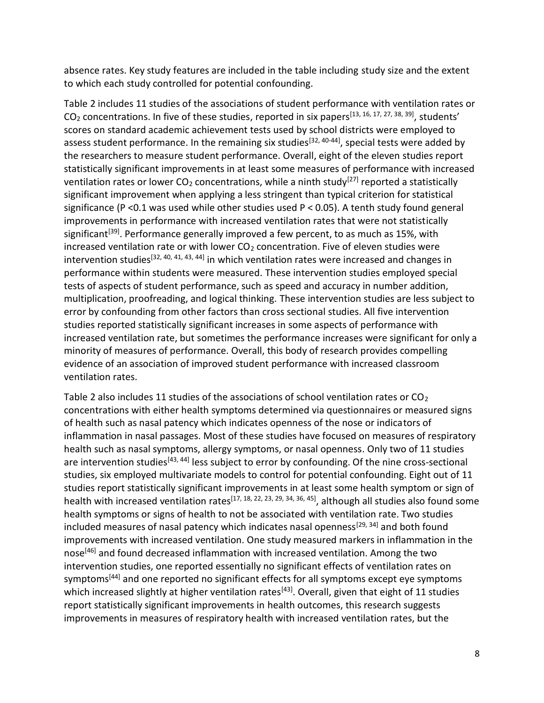absence rates. Key study features are included in the table including study size and the extent to which each study controlled for potential confounding.

Table 2 includes 11 studies of the associations of student performance with ventilation rates or  $CO<sub>2</sub>$  concentrations. In five of these studies, reported in six papers<sup>[13, 16, 17, 27, 38, 39]</sup>, students' scores on standard academic achievement tests used by school districts were employed to assess student performance. In the remaining six studies<sup>[32, 40-44]</sup>, special tests were added by the researchers to measure student performance. Overall, eight of the eleven studies report statistically significant improvements in at least some measures of performance with increased ventilation rates or lower  $CO_2$  concentrations, while a ninth study<sup>[27]</sup> reported a statistically significant improvement when applying a less stringent than typical criterion for statistical significance (P <0.1 was used while other studies used P < 0.05). A tenth study found general improvements in performance with increased ventilation rates that were not statistically significant<sup>[39]</sup>. Performance generally improved a few percent, to as much as 15%, with increased ventilation rate or with lower  $CO<sub>2</sub>$  concentration. Five of eleven studies were intervention studies<sup>[32, 40, 41, 43, 44]</sup> in which ventilation rates were increased and changes in performance within students were measured. These intervention studies employed special tests of aspects of student performance, such as speed and accuracy in number addition, multiplication, proofreading, and logical thinking. These intervention studies are less subject to error by confounding from other factors than cross sectional studies. All five intervention studies reported statistically significant increases in some aspects of performance with increased ventilation rate, but sometimes the performance increases were significant for only a minority of measures of performance. Overall, this body of research provides compelling evidence of an association of improved student performance with increased classroom ventilation rates.

Table 2 also includes 11 studies of the associations of school ventilation rates or  $CO<sub>2</sub>$ concentrations with either health symptoms determined via questionnaires or measured signs of health such as nasal patency which indicates openness of the nose or indicators of inflammation in nasal passages. Most of these studies have focused on measures of respiratory health such as nasal symptoms, allergy symptoms, or nasal openness. Only two of 11 studies are intervention studies<sup>[43, 44]</sup> less subject to error by confounding. Of the nine cross-sectional studies, six employed multivariate models to control for potential confounding. Eight out of 11 studies report statistically significant improvements in at least some health symptom or sign of health with increased ventilation rates<sup>[17, 18, 22, 23, 29, 34, 36, 45]</sup>, although all studies also found some health symptoms or signs of health to not be associated with ventilation rate. Two studies included measures of nasal patency which indicates nasal openness<sup>[29, 34]</sup> and both found improvements with increased ventilation. One study measured markers in inflammation in the nose<sup>[46]</sup> and found decreased inflammation with increased ventilation. Among the two intervention studies, one reported essentially no significant effects of ventilation rates on symptoms<sup>[44]</sup> and one reported no significant effects for all symptoms except eye symptoms which increased slightly at higher ventilation rates<sup>[43]</sup>. Overall, given that eight of 11 studies report statistically significant improvements in health outcomes, this research suggests improvements in measures of respiratory health with increased ventilation rates, but the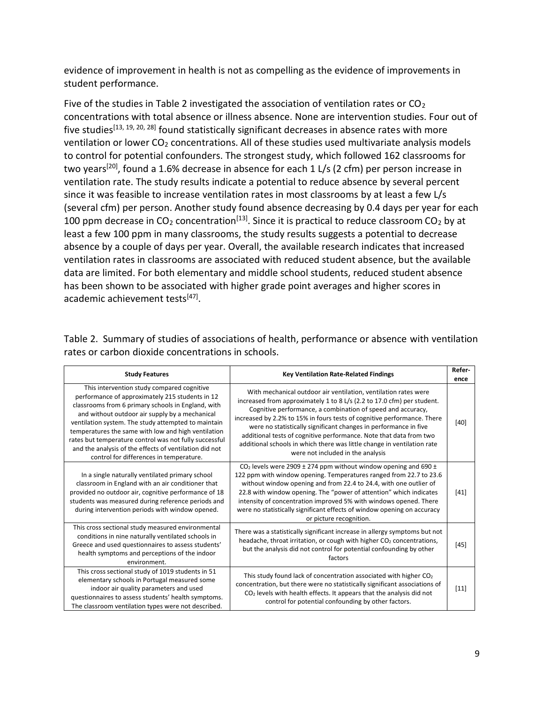evidence of improvement in health is not as compelling as the evidence of improvements in student performance.

Five of the studies in Table 2 investigated the association of ventilation rates or  $CO<sub>2</sub>$ concentrations with total absence or illness absence. None are intervention studies. Four out of five studies<sup>[13, 19, 20, 28]</sup> found statistically significant decreases in absence rates with more ventilation or lower  $CO<sub>2</sub>$  concentrations. All of these studies used multivariate analysis models to control for potential confounders. The strongest study, which followed 162 classrooms for two years<sup>[20]</sup>, found a 1.6% decrease in absence for each 1 L/s (2 cfm) per person increase in ventilation rate. The study results indicate a potential to reduce absence by several percent since it was feasible to increase ventilation rates in most classrooms by at least a few L/s (several cfm) per person. Another study found absence decreasing by 0.4 days per year for each 100 ppm decrease in CO<sub>2</sub> concentration<sup>[13]</sup>. Since it is practical to reduce classroom CO<sub>2</sub> by at least a few 100 ppm in many classrooms, the study results suggests a potential to decrease absence by a couple of days per year. Overall, the available research indicates that increased ventilation rates in classrooms are associated with reduced student absence, but the available data are limited. For both elementary and middle school students, reduced student absence has been shown to be associated with higher grade point averages and higher scores in academic achievement tests<sup>[47]</sup>.

| Table 2. Summary of studies of associations of health, performance or absence with ventilation |  |  |
|------------------------------------------------------------------------------------------------|--|--|
| rates or carbon dioxide concentrations in schools.                                             |  |  |

| <b>Study Features</b>                                                                                                                                                                                                                                                                                                                                                                                                                                                              | <b>Key Ventilation Rate-Related Findings</b>                                                                                                                                                                                                                                                                                                                                                                                                                                                                                                  | Refer-<br>ence |
|------------------------------------------------------------------------------------------------------------------------------------------------------------------------------------------------------------------------------------------------------------------------------------------------------------------------------------------------------------------------------------------------------------------------------------------------------------------------------------|-----------------------------------------------------------------------------------------------------------------------------------------------------------------------------------------------------------------------------------------------------------------------------------------------------------------------------------------------------------------------------------------------------------------------------------------------------------------------------------------------------------------------------------------------|----------------|
| This intervention study compared cognitive<br>performance of approximately 215 students in 12<br>classrooms from 6 primary schools in England, with<br>and without outdoor air supply by a mechanical<br>ventilation system. The study attempted to maintain<br>temperatures the same with low and high ventilation<br>rates but temperature control was not fully successful<br>and the analysis of the effects of ventilation did not<br>control for differences in temperature. | With mechanical outdoor air ventilation, ventilation rates were<br>increased from approximately 1 to 8 L/s (2.2 to 17.0 cfm) per student.<br>Cognitive performance, a combination of speed and accuracy,<br>increased by 2.2% to 15% in fours tests of cognitive performance. There<br>were no statistically significant changes in performance in five<br>additional tests of cognitive performance. Note that data from two<br>additional schools in which there was little change in ventilation rate<br>were not included in the analysis | $[40]$         |
| In a single naturally ventilated primary school<br>classroom in England with an air conditioner that<br>provided no outdoor air, cognitive performance of 18<br>students was measured during reference periods and<br>during intervention periods with window opened.                                                                                                                                                                                                              | $CO2$ levels were 2909 ± 274 ppm without window opening and 690 ±<br>122 ppm with window opening. Temperatures ranged from 22.7 to 23.6<br>without window opening and from 22.4 to 24.4, with one outlier of<br>22.8 with window opening. The "power of attention" which indicates<br>intensity of concentration improved 5% with windows opened. There<br>were no statistically significant effects of window opening on accuracy<br>or picture recognition.                                                                                 | $[41]$         |
| This cross sectional study measured environmental<br>conditions in nine naturally ventilated schools in<br>Greece and used questionnaires to assess students'<br>health symptoms and perceptions of the indoor<br>environment.                                                                                                                                                                                                                                                     | There was a statistically significant increase in allergy symptoms but not<br>headache, throat irritation, or cough with higher CO <sub>2</sub> concentrations,<br>but the analysis did not control for potential confounding by other<br>factors                                                                                                                                                                                                                                                                                             | $[45]$         |
| This cross sectional study of 1019 students in 51<br>elementary schools in Portugal measured some<br>indoor air quality parameters and used<br>questionnaires to assess students' health symptoms.<br>The classroom ventilation types were not described.                                                                                                                                                                                                                          | This study found lack of concentration associated with higher CO <sub>2</sub><br>concentration, but there were no statistically significant associations of<br>CO <sub>2</sub> levels with health effects. It appears that the analysis did not<br>control for potential confounding by other factors.                                                                                                                                                                                                                                        | $[11]$         |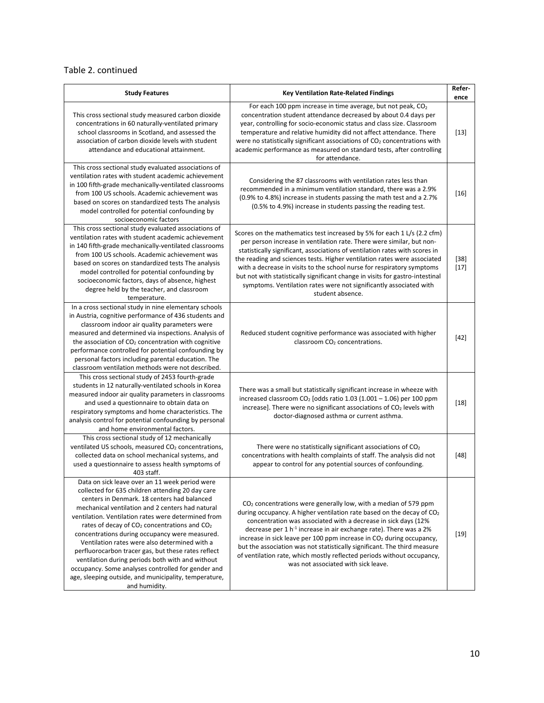#### Table 2. continued

| <b>Study Features</b>                                                                                                                                                                                                                                                                                                                                                                                                                                                                                                                                                                                                                                                              | <b>Key Ventilation Rate-Related Findings</b>                                                                                                                                                                                                                                                                                                                                                                                                                                                                                                                                               | Refer-<br>ence   |
|------------------------------------------------------------------------------------------------------------------------------------------------------------------------------------------------------------------------------------------------------------------------------------------------------------------------------------------------------------------------------------------------------------------------------------------------------------------------------------------------------------------------------------------------------------------------------------------------------------------------------------------------------------------------------------|--------------------------------------------------------------------------------------------------------------------------------------------------------------------------------------------------------------------------------------------------------------------------------------------------------------------------------------------------------------------------------------------------------------------------------------------------------------------------------------------------------------------------------------------------------------------------------------------|------------------|
| This cross sectional study measured carbon dioxide<br>concentrations in 60 naturally-ventilated primary<br>school classrooms in Scotland, and assessed the<br>association of carbon dioxide levels with student<br>attendance and educational attainment.                                                                                                                                                                                                                                                                                                                                                                                                                          | For each 100 ppm increase in time average, but not peak, CO <sub>2</sub><br>concentration student attendance decreased by about 0.4 days per<br>year, controlling for socio-economic status and class size. Classroom<br>temperature and relative humidity did not affect attendance. There<br>were no statistically significant associations of CO <sub>2</sub> concentrations with<br>academic performance as measured on standard tests, after controlling<br>for attendance.                                                                                                           | $[13]$           |
| This cross sectional study evaluated associations of<br>ventilation rates with student academic achievement<br>in 100 fifth-grade mechanically-ventilated classrooms<br>from 100 US schools. Academic achievement was<br>based on scores on standardized tests The analysis<br>model controlled for potential confounding by<br>socioeconomic factors                                                                                                                                                                                                                                                                                                                              | Considering the 87 classrooms with ventilation rates less than<br>recommended in a minimum ventilation standard, there was a 2.9%<br>(0.9% to 4.8%) increase in students passing the math test and a 2.7%<br>(0.5% to 4.9%) increase in students passing the reading test.                                                                                                                                                                                                                                                                                                                 | $[16]$           |
| This cross sectional study evaluated associations of<br>ventilation rates with student academic achievement<br>in 140 fifth-grade mechanically-ventilated classrooms<br>from 100 US schools. Academic achievement was<br>based on scores on standardized tests The analysis<br>model controlled for potential confounding by<br>socioeconomic factors, days of absence, highest<br>degree held by the teacher, and classroom<br>temperature.                                                                                                                                                                                                                                       | Scores on the mathematics test increased by 5% for each 1 L/s (2.2 cfm)<br>per person increase in ventilation rate. There were similar, but non-<br>statistically significant, associations of ventilation rates with scores in<br>the reading and sciences tests. Higher ventilation rates were associated<br>with a decrease in visits to the school nurse for respiratory symptoms<br>but not with statistically significant change in visits for gastro-intestinal<br>symptoms. Ventilation rates were not significantly associated with<br>student absence.                           | $[38]$<br>$[17]$ |
| In a cross sectional study in nine elementary schools<br>in Austria, cognitive performance of 436 students and<br>classroom indoor air quality parameters were<br>measured and determined via inspections. Analysis of<br>the association of CO <sub>2</sub> concentration with cognitive<br>performance controlled for potential confounding by<br>personal factors including parental education. The<br>classroom ventilation methods were not described.                                                                                                                                                                                                                        | Reduced student cognitive performance was associated with higher<br>classroom CO <sub>2</sub> concentrations.                                                                                                                                                                                                                                                                                                                                                                                                                                                                              | $[42]$           |
| This cross sectional study of 2453 fourth-grade<br>students in 12 naturally-ventilated schools in Korea<br>measured indoor air quality parameters in classrooms<br>and used a questionnaire to obtain data on<br>respiratory symptoms and home characteristics. The<br>analysis control for potential confounding by personal<br>and home environmental factors.                                                                                                                                                                                                                                                                                                                   | There was a small but statistically significant increase in wheeze with<br>increased classroom $CO2$ [odds ratio 1.03 (1.001 - 1.06) per 100 ppm<br>increase]. There were no significant associations of CO <sub>2</sub> levels with<br>doctor-diagnosed asthma or current asthma.                                                                                                                                                                                                                                                                                                         | $[18]$           |
| This cross sectional study of 12 mechanically<br>ventilated US schools, measured CO <sub>2</sub> concentrations,<br>collected data on school mechanical systems, and<br>used a questionnaire to assess health symptoms of<br>403 staff.                                                                                                                                                                                                                                                                                                                                                                                                                                            | There were no statistically significant associations of $CO2$<br>concentrations with health complaints of staff. The analysis did not<br>appear to control for any potential sources of confounding.                                                                                                                                                                                                                                                                                                                                                                                       | $[48]$           |
| Data on sick leave over an 11 week period were<br>collected for 635 children attending 20 day care<br>centers in Denmark. 18 centers had balanced<br>mechanical ventilation and 2 centers had natural<br>ventilation. Ventilation rates were determined from<br>rates of decay of CO <sub>2</sub> concentrations and CO <sub>2</sub><br>concentrations during occupancy were measured.<br>Ventilation rates were also determined with a<br>perfluorocarbon tracer gas, but these rates reflect<br>ventilation during periods both with and without<br>occupancy. Some analyses controlled for gender and<br>age, sleeping outside, and municipality, temperature,<br>and humidity. | CO <sub>2</sub> concentrations were generally low, with a median of 579 ppm<br>during occupancy. A higher ventilation rate based on the decay of $CO2$<br>concentration was associated with a decrease in sick days (12%<br>decrease per 1 h <sup>-1</sup> increase in air exchange rate). There was a 2%<br>increase in sick leave per 100 ppm increase in CO <sub>2</sub> during occupancy,<br>but the association was not statistically significant. The third measure<br>of ventilation rate, which mostly reflected periods without occupancy,<br>was not associated with sick leave. | $[19]$           |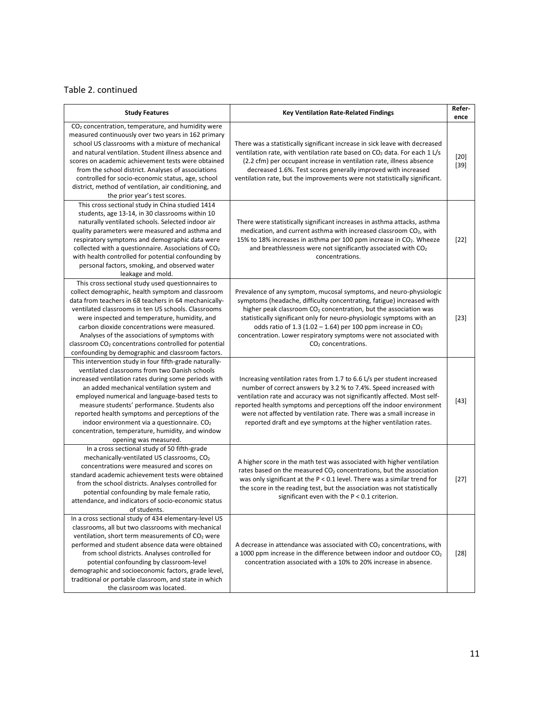#### Table 2. continued

| <b>Study Features</b>                                                                                                                                                                                                                                                                                                                                                                                                                                                                                      | <b>Key Ventilation Rate-Related Findings</b>                                                                                                                                                                                                                                                                                                                                                                                                                         | Refer-<br>ence   |
|------------------------------------------------------------------------------------------------------------------------------------------------------------------------------------------------------------------------------------------------------------------------------------------------------------------------------------------------------------------------------------------------------------------------------------------------------------------------------------------------------------|----------------------------------------------------------------------------------------------------------------------------------------------------------------------------------------------------------------------------------------------------------------------------------------------------------------------------------------------------------------------------------------------------------------------------------------------------------------------|------------------|
| CO <sub>2</sub> concentration, temperature, and humidity were<br>measured continuously over two years in 162 primary<br>school US classrooms with a mixture of mechanical<br>and natural ventilation. Student illness absence and<br>scores on academic achievement tests were obtained<br>from the school district. Analyses of associations<br>controlled for socio-economic status, age, school<br>district, method of ventilation, air conditioning, and<br>the prior year's test scores.              | There was a statistically significant increase in sick leave with decreased<br>ventilation rate, with ventilation rate based on CO <sub>2</sub> data. For each 1 L/s<br>(2.2 cfm) per occupant increase in ventilation rate, illness absence<br>decreased 1.6%. Test scores generally improved with increased<br>ventilation rate, but the improvements were not statistically significant.                                                                          | $[20]$<br>$[39]$ |
| This cross sectional study in China studied 1414<br>students, age 13-14, in 30 classrooms within 10<br>naturally ventilated schools. Selected indoor air<br>quality parameters were measured and asthma and<br>respiratory symptoms and demographic data were<br>collected with a questionnaire. Associations of CO <sub>2</sub><br>with health controlled for potential confounding by<br>personal factors, smoking, and observed water<br>leakage and mold.                                              | There were statistically significant increases in asthma attacks, asthma<br>medication, and current asthma with increased classroom CO <sub>2</sub> , with<br>15% to 18% increases in asthma per 100 ppm increase in CO <sub>2</sub> . Wheeze<br>and breathlessness were not significantly associated with CO <sub>2</sub><br>concentrations.                                                                                                                        | $[22]$           |
| This cross sectional study used questionnaires to<br>collect demographic, health symptom and classroom<br>data from teachers in 68 teachers in 64 mechanically-<br>ventilated classrooms in ten US schools. Classrooms<br>were inspected and temperature, humidity, and<br>carbon dioxide concentrations were measured.<br>Analyses of the associations of symptoms with<br>classroom CO <sub>2</sub> concentrations controlled for potential<br>confounding by demographic and classroom factors.         | Prevalence of any symptom, mucosal symptoms, and neuro-physiologic<br>symptoms (headache, difficulty concentrating, fatigue) increased with<br>higher peak classroom CO <sub>2</sub> concentration, but the association was<br>statistically significant only for neuro-physiologic symptoms with an<br>odds ratio of 1.3 (1.02 - 1.64) per 100 ppm increase in $CO2$<br>concentration. Lower respiratory symptoms were not associated with<br>$CO2$ concentrations. | $[23]$           |
| This intervention study in four fifth-grade naturally-<br>ventilated classrooms from two Danish schools<br>increased ventilation rates during some periods with<br>an added mechanical ventilation system and<br>employed numerical and language-based tests to<br>measure students' performance. Students also<br>reported health symptoms and perceptions of the<br>indoor environment via a questionnaire. CO <sub>2</sub><br>concentration, temperature, humidity, and window<br>opening was measured. | Increasing ventilation rates from 1.7 to 6.6 L/s per student increased<br>number of correct answers by 3.2 % to 7.4%. Speed increased with<br>ventilation rate and accuracy was not significantly affected. Most self-<br>reported health symptoms and perceptions off the indoor environment<br>were not affected by ventilation rate. There was a small increase in<br>reported draft and eye symptoms at the higher ventilation rates.                            | $[43]$           |
| In a cross sectional study of 50 fifth-grade<br>mechanically-ventilated US classrooms, CO2<br>concentrations were measured and scores on<br>standard academic achievement tests were obtained<br>from the school districts. Analyses controlled for<br>potential confounding by male female ratio,<br>attendance, and indicators of socio-economic status<br>of students.                                                                                                                                  | A higher score in the math test was associated with higher ventilation<br>rates based on the measured CO <sub>2</sub> concentrations, but the association<br>was only significant at the $P < 0.1$ level. There was a similar trend for<br>the score in the reading test, but the association was not statistically<br>significant even with the $P < 0.1$ criterion.                                                                                                | $[27]$           |
| In a cross sectional study of 434 elementary-level US<br>classrooms, all but two classrooms with mechanical<br>ventilation, short term measurements of CO <sub>2</sub> were<br>performed and student absence data were obtained<br>from school districts. Analyses controlled for<br>potential confounding by classroom-level<br>demographic and socioeconomic factors, grade level,<br>traditional or portable classroom, and state in which<br>the classroom was located.                                | A decrease in attendance was associated with $CO2$ concentrations, with<br>a 1000 ppm increase in the difference between indoor and outdoor $CO2$<br>concentration associated with a 10% to 20% increase in absence.                                                                                                                                                                                                                                                 | $[28]$           |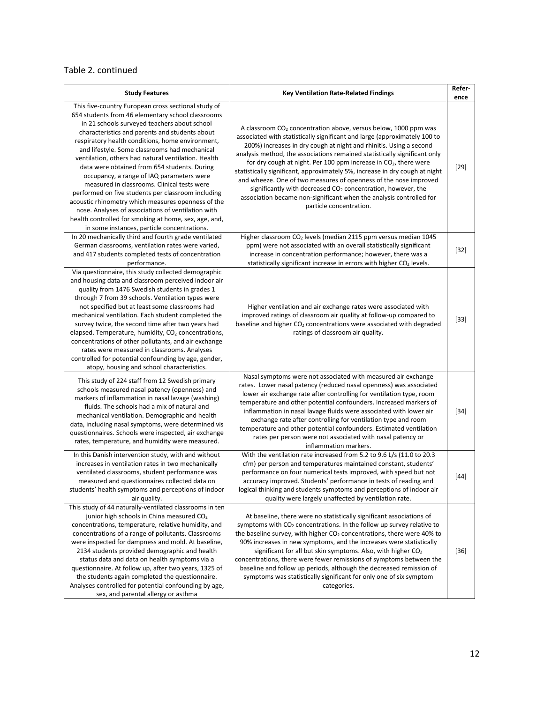#### Table 2. continued

| <b>Study Features</b>                                                                                                                                                                                                                                                                                                                                                                                                                                                                                                                                                                                                                                                                                                                                                                        | <b>Key Ventilation Rate-Related Findings</b>                                                                                                                                                                                                                                                                                                                                                                                                                                                                                                                                                                                                                                                                       | Refer-<br>ence |
|----------------------------------------------------------------------------------------------------------------------------------------------------------------------------------------------------------------------------------------------------------------------------------------------------------------------------------------------------------------------------------------------------------------------------------------------------------------------------------------------------------------------------------------------------------------------------------------------------------------------------------------------------------------------------------------------------------------------------------------------------------------------------------------------|--------------------------------------------------------------------------------------------------------------------------------------------------------------------------------------------------------------------------------------------------------------------------------------------------------------------------------------------------------------------------------------------------------------------------------------------------------------------------------------------------------------------------------------------------------------------------------------------------------------------------------------------------------------------------------------------------------------------|----------------|
| This five-country European cross sectional study of<br>654 students from 46 elementary school classrooms<br>in 21 schools surveyed teachers about school<br>characteristics and parents and students about<br>respiratory health conditions, home environment,<br>and lifestyle. Some classrooms had mechanical<br>ventilation, others had natural ventilation. Health<br>data were obtained from 654 students. During<br>occupancy, a range of IAQ parameters were<br>measured in classrooms. Clinical tests were<br>performed on five students per classroom including<br>acoustic rhinometry which measures openness of the<br>nose. Analyses of associations of ventilation with<br>health controlled for smoking at home, sex, age, and,<br>in some instances, particle concentrations. | A classroom CO <sub>2</sub> concentration above, versus below, 1000 ppm was<br>associated with statistically significant and large (approximately 100 to<br>200%) increases in dry cough at night and rhinitis. Using a second<br>analysis method, the associations remained statistically significant only<br>for dry cough at night. Per 100 ppm increase in CO <sub>2</sub> , there were<br>statistically significant, approximately 5%, increase in dry cough at night<br>and wheeze. One of two measures of openness of the nose improved<br>significantly with decreased $CO2$ concentration, however, the<br>association became non-significant when the analysis controlled for<br>particle concentration. | $[29]$         |
| In 20 mechanically third and fourth grade ventilated<br>German classrooms, ventilation rates were varied,<br>and 417 students completed tests of concentration<br>performance.                                                                                                                                                                                                                                                                                                                                                                                                                                                                                                                                                                                                               | Higher classroom CO <sub>2</sub> levels (median 2115 ppm versus median 1045<br>ppm) were not associated with an overall statistically significant<br>increase in concentration performance; however, there was a<br>statistically significant increase in errors with higher $CO2$ levels.                                                                                                                                                                                                                                                                                                                                                                                                                         | $[32]$         |
| Via questionnaire, this study collected demographic<br>and housing data and classroom perceived indoor air<br>quality from 1476 Swedish students in grades 1<br>through 7 from 39 schools. Ventilation types were<br>not specified but at least some classrooms had<br>mechanical ventilation. Each student completed the<br>survey twice, the second time after two years had<br>elapsed. Temperature, humidity, CO <sub>2</sub> concentrations,<br>concentrations of other pollutants, and air exchange<br>rates were measured in classrooms. Analyses<br>controlled for potential confounding by age, gender,<br>atopy, housing and school characteristics.                                                                                                                               | Higher ventilation and air exchange rates were associated with<br>improved ratings of classroom air quality at follow-up compared to<br>baseline and higher CO <sub>2</sub> concentrations were associated with degraded<br>ratings of classroom air quality.                                                                                                                                                                                                                                                                                                                                                                                                                                                      | $[33]$         |
| This study of 224 staff from 12 Swedish primary<br>schools measured nasal patency (openness) and<br>markers of inflammation in nasal lavage (washing)<br>fluids. The schools had a mix of natural and<br>mechanical ventilation. Demographic and health<br>data, including nasal symptoms, were determined vis<br>questionnaires. Schools were inspected, air exchange<br>rates, temperature, and humidity were measured.                                                                                                                                                                                                                                                                                                                                                                    | Nasal symptoms were not associated with measured air exchange<br>rates. Lower nasal patency (reduced nasal openness) was associated<br>lower air exchange rate after controlling for ventilation type, room<br>temperature and other potential confounders. Increased markers of<br>inflammation in nasal lavage fluids were associated with lower air<br>exchange rate after controlling for ventilation type and room<br>temperature and other potential confounders. Estimated ventilation<br>rates per person were not associated with nasal patency or<br>inflammation markers.                                                                                                                               | $[34]$         |
| In this Danish intervention study, with and without<br>increases in ventilation rates in two mechanically<br>ventilated classrooms, student performance was<br>measured and questionnaires collected data on<br>students' health symptoms and perceptions of indoor<br>air quality.                                                                                                                                                                                                                                                                                                                                                                                                                                                                                                          | With the ventilation rate increased from 5.2 to 9.6 L/s (11.0 to 20.3<br>cfm) per person and temperatures maintained constant, students'<br>performance on four numerical tests improved, with speed but not<br>accuracy improved. Students' performance in tests of reading and<br>logical thinking and students symptoms and perceptions of indoor air<br>quality were largely unaffected by ventilation rate.                                                                                                                                                                                                                                                                                                   | [44]           |
| This study of 44 naturally-ventilated classrooms in ten<br>junior high schools in China measured CO <sub>2</sub><br>concentrations, temperature, relative humidity, and<br>concentrations of a range of pollutants. Classrooms<br>were inspected for dampness and mold. At baseline,<br>2134 students provided demographic and health<br>status data and data on health symptoms via a<br>questionnaire. At follow up, after two years, 1325 of<br>the students again completed the questionnaire.<br>Analyses controlled for potential confounding by age,<br>sex, and parental allergy or asthma                                                                                                                                                                                           | At baseline, there were no statistically significant associations of<br>symptoms with CO <sub>2</sub> concentrations. In the follow up survey relative to<br>the baseline survey, with higher CO <sub>2</sub> concentrations, there were 40% to<br>90% increases in new symptoms, and the increases were statistically<br>significant for all but skin symptoms. Also, with higher CO <sub>2</sub><br>concentrations, there were fewer remissions of symptoms between the<br>baseline and follow up periods, although the decreased remission of<br>symptoms was statistically significant for only one of six symptom<br>categories.                                                                              | $[36]$         |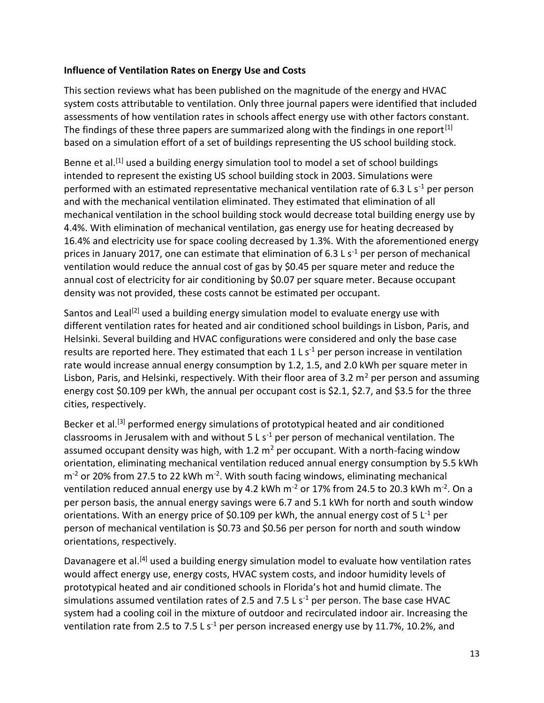## **Influence of Ventilation Rates on Energy Use and Costs**

This section reviews what has been published on the magnitude of the energy and HVAC system costs attributable to ventilation. Only three journal papers were identified that included assessments of how ventilation rates in schools affect energy use with other factors constant. The findings of these three papers are summarized along with the findings in one report<sup>[1]</sup> based on a simulation effort of a set of buildings representing the US school building stock.

Benne et al.<sup>[1]</sup> used a building energy simulation tool to model a set of school buildings intended to represent the existing US school building stock in 2003. Simulations were performed with an estimated representative mechanical ventilation rate of 6.3 L s<sup>-1</sup> per person and with the mechanical ventilation eliminated. They estimated that elimination of all mechanical ventilation in the school building stock would decrease total building energy use by 4.4%. With elimination of mechanical ventilation, gas energy use for heating decreased by 16.4% and electricity use for space cooling decreased by 1.3%. With the aforementioned energy prices in January 2017, one can estimate that elimination of 6.3 L  $s^{-1}$  per person of mechanical ventilation would reduce the annual cost of gas by \$0.45 per square meter and reduce the annual cost of electricity for air conditioning by \$0.07 per square meter. Because occupant density was not provided, these costs cannot be estimated per occupant.

Santos and Leal<sup>[2]</sup> used a building energy simulation model to evaluate energy use with different ventilation rates for heated and air conditioned school buildings in Lisbon, Paris, and Helsinki. Several building and HVAC configurations were considered and only the base case results are reported here. They estimated that each  $1 \text{ L s}^{-1}$  per person increase in ventilation rate would increase annual energy consumption by 1.2, 1.5, and 2.0 kWh per square meter in Lisbon, Paris, and Helsinki, respectively. With their floor area of 3.2  $m<sup>2</sup>$  per person and assuming energy cost \$0.109 per kWh, the annual per occupant cost is \$2.1, \$2.7, and \$3.5 for the three cities, respectively.

Becker et al.<sup>[3]</sup> performed energy simulations of prototypical heated and air conditioned classrooms in Jerusalem with and without  $5 \, \text{L s}^{-1}$  per person of mechanical ventilation. The assumed occupant density was high, with 1.2  $m^2$  per occupant. With a north-facing window orientation, eliminating mechanical ventilation reduced annual energy consumption by 5.5 kWh  $m<sup>-2</sup>$  or 20% from 27.5 to 22 kWh m<sup>-2</sup>. With south facing windows, eliminating mechanical ventilation reduced annual energy use by 4.2 kWh m<sup>-2</sup> or 17% from 24.5 to 20.3 kWh m<sup>-2</sup>. On a per person basis, the annual energy savings were 6.7 and 5.1 kWh for north and south window orientations. With an energy price of \$0.109 per kWh, the annual energy cost of 5  $L^{-1}$  per person of mechanical ventilation is \$0.73 and \$0.56 per person for north and south window orientations, respectively.

Davanagere et al.<sup>[4]</sup> used a building energy simulation model to evaluate how ventilation rates would affect energy use, energy costs, HVAC system costs, and indoor humidity levels of prototypical heated and air conditioned schools in Florida's hot and humid climate. The simulations assumed ventilation rates of 2.5 and 7.5 L  $s<sup>-1</sup>$  per person. The base case HVAC system had a cooling coil in the mixture of outdoor and recirculated indoor air. Increasing the ventilation rate from 2.5 to 7.5 L  $s^{-1}$  per person increased energy use by 11.7%, 10.2%, and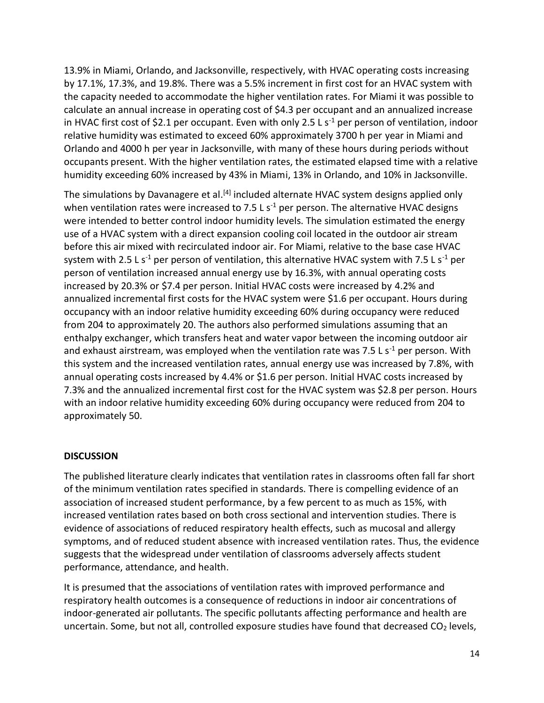13.9% in Miami, Orlando, and Jacksonville, respectively, with HVAC operating costs increasing by 17.1%, 17.3%, and 19.8%. There was a 5.5% increment in first cost for an HVAC system with the capacity needed to accommodate the higher ventilation rates. For Miami it was possible to calculate an annual increase in operating cost of \$4.3 per occupant and an annualized increase in HVAC first cost of \$2.1 per occupant. Even with only 2.5 L  $s<sup>-1</sup>$  per person of ventilation, indoor relative humidity was estimated to exceed 60% approximately 3700 h per year in Miami and Orlando and 4000 h per year in Jacksonville, with many of these hours during periods without occupants present. With the higher ventilation rates, the estimated elapsed time with a relative humidity exceeding 60% increased by 43% in Miami, 13% in Orlando, and 10% in Jacksonville.

The simulations by Davanagere et al.<sup>[4]</sup> included alternate HVAC system designs applied only when ventilation rates were increased to 7.5 L  $s<sup>-1</sup>$  per person. The alternative HVAC designs were intended to better control indoor humidity levels. The simulation estimated the energy use of a HVAC system with a direct expansion cooling coil located in the outdoor air stream before this air mixed with recirculated indoor air. For Miami, relative to the base case HVAC system with 2.5 L s<sup>-1</sup> per person of ventilation, this alternative HVAC system with 7.5 L s<sup>-1</sup> per person of ventilation increased annual energy use by 16.3%, with annual operating costs increased by 20.3% or \$7.4 per person. Initial HVAC costs were increased by 4.2% and annualized incremental first costs for the HVAC system were \$1.6 per occupant. Hours during occupancy with an indoor relative humidity exceeding 60% during occupancy were reduced from 204 to approximately 20. The authors also performed simulations assuming that an enthalpy exchanger, which transfers heat and water vapor between the incoming outdoor air and exhaust airstream, was employed when the ventilation rate was 7.5 L  $s<sup>-1</sup>$  per person. With this system and the increased ventilation rates, annual energy use was increased by 7.8%, with annual operating costs increased by 4.4% or \$1.6 per person. Initial HVAC costs increased by 7.3% and the annualized incremental first cost for the HVAC system was \$2.8 per person. Hours with an indoor relative humidity exceeding 60% during occupancy were reduced from 204 to approximately 50.

### **DISCUSSION**

The published literature clearly indicates that ventilation rates in classrooms often fall far short of the minimum ventilation rates specified in standards. There is compelling evidence of an association of increased student performance, by a few percent to as much as 15%, with increased ventilation rates based on both cross sectional and intervention studies. There is evidence of associations of reduced respiratory health effects, such as mucosal and allergy symptoms, and of reduced student absence with increased ventilation rates. Thus, the evidence suggests that the widespread under ventilation of classrooms adversely affects student performance, attendance, and health.

It is presumed that the associations of ventilation rates with improved performance and respiratory health outcomes is a consequence of reductions in indoor air concentrations of indoor-generated air pollutants. The specific pollutants affecting performance and health are uncertain. Some, but not all, controlled exposure studies have found that decreased  $CO<sub>2</sub>$  levels,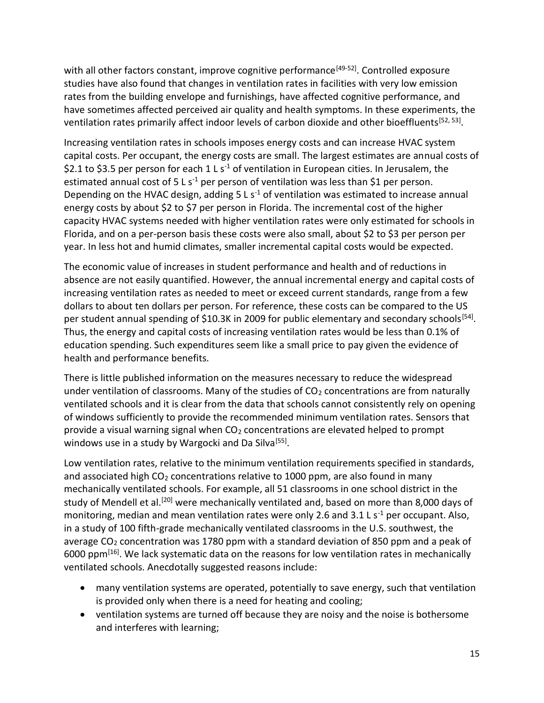with all other factors constant, improve cognitive performance<sup>[49-52]</sup>. Controlled exposure studies have also found that changes in ventilation rates in facilities with very low emission rates from the building envelope and furnishings, have affected cognitive performance, and have sometimes affected perceived air quality and health symptoms. In these experiments, the ventilation rates primarily affect indoor levels of carbon dioxide and other bioeffluents<sup>[52, 53]</sup>.

Increasing ventilation rates in schools imposes energy costs and can increase HVAC system capital costs. Per occupant, the energy costs are small. The largest estimates are annual costs of \$2.1 to \$3.5 per person for each 1 L  $s<sup>-1</sup>$  of ventilation in European cities. In Jerusalem, the estimated annual cost of  $5 \text{ L s}^{-1}$  per person of ventilation was less than \$1 per person. Depending on the HVAC design, adding  $5 L s^{-1}$  of ventilation was estimated to increase annual energy costs by about \$2 to \$7 per person in Florida. The incremental cost of the higher capacity HVAC systems needed with higher ventilation rates were only estimated for schools in Florida, and on a per-person basis these costs were also small, about \$2 to \$3 per person per year. In less hot and humid climates, smaller incremental capital costs would be expected.

The economic value of increases in student performance and health and of reductions in absence are not easily quantified. However, the annual incremental energy and capital costs of increasing ventilation rates as needed to meet or exceed current standards, range from a few dollars to about ten dollars per person. For reference, these costs can be compared to the US per student annual spending of \$10.3K in 2009 for public elementary and secondary schools<sup>[54]</sup>. Thus, the energy and capital costs of increasing ventilation rates would be less than 0.1% of education spending. Such expenditures seem like a small price to pay given the evidence of health and performance benefits.

There is little published information on the measures necessary to reduce the widespread under ventilation of classrooms. Many of the studies of  $CO<sub>2</sub>$  concentrations are from naturally ventilated schools and it is clear from the data that schools cannot consistently rely on opening of windows sufficiently to provide the recommended minimum ventilation rates. Sensors that provide a visual warning signal when  $CO<sub>2</sub>$  concentrations are elevated helped to prompt windows use in a study by Wargocki and Da Silva<sup>[55]</sup>.

Low ventilation rates, relative to the minimum ventilation requirements specified in standards, and associated high  $CO<sub>2</sub>$  concentrations relative to 1000 ppm, are also found in many mechanically ventilated schools. For example, all 51 classrooms in one school district in the study of Mendell et al.<sup>[20]</sup> were mechanically ventilated and, based on more than 8,000 days of monitoring, median and mean ventilation rates were only 2.6 and 3.1 L  $s<sup>-1</sup>$  per occupant. Also, in a study of 100 fifth-grade mechanically ventilated classrooms in the U.S. southwest, the average  $CO<sub>2</sub>$  concentration was 1780 ppm with a standard deviation of 850 ppm and a peak of 6000 ppm $^{[16]}$ . We lack systematic data on the reasons for low ventilation rates in mechanically ventilated schools. Anecdotally suggested reasons include:

- many ventilation systems are operated, potentially to save energy, such that ventilation is provided only when there is a need for heating and cooling;
- ventilation systems are turned off because they are noisy and the noise is bothersome and interferes with learning;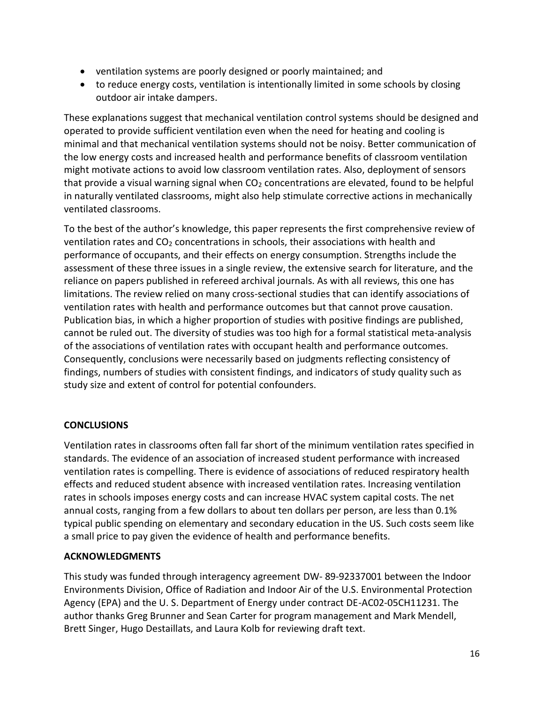- ventilation systems are poorly designed or poorly maintained; and
- to reduce energy costs, ventilation is intentionally limited in some schools by closing outdoor air intake dampers.

These explanations suggest that mechanical ventilation control systems should be designed and operated to provide sufficient ventilation even when the need for heating and cooling is minimal and that mechanical ventilation systems should not be noisy. Better communication of the low energy costs and increased health and performance benefits of classroom ventilation might motivate actions to avoid low classroom ventilation rates. Also, deployment of sensors that provide a visual warning signal when  $CO<sub>2</sub>$  concentrations are elevated, found to be helpful in naturally ventilated classrooms, might also help stimulate corrective actions in mechanically ventilated classrooms.

To the best of the author's knowledge, this paper represents the first comprehensive review of ventilation rates and  $CO<sub>2</sub>$  concentrations in schools, their associations with health and performance of occupants, and their effects on energy consumption. Strengths include the assessment of these three issues in a single review, the extensive search for literature, and the reliance on papers published in refereed archival journals. As with all reviews, this one has limitations. The review relied on many cross-sectional studies that can identify associations of ventilation rates with health and performance outcomes but that cannot prove causation. Publication bias, in which a higher proportion of studies with positive findings are published, cannot be ruled out. The diversity of studies was too high for a formal statistical meta-analysis of the associations of ventilation rates with occupant health and performance outcomes. Consequently, conclusions were necessarily based on judgments reflecting consistency of findings, numbers of studies with consistent findings, and indicators of study quality such as study size and extent of control for potential confounders.

# **CONCLUSIONS**

Ventilation rates in classrooms often fall far short of the minimum ventilation rates specified in standards. The evidence of an association of increased student performance with increased ventilation rates is compelling. There is evidence of associations of reduced respiratory health effects and reduced student absence with increased ventilation rates. Increasing ventilation rates in schools imposes energy costs and can increase HVAC system capital costs. The net annual costs, ranging from a few dollars to about ten dollars per person, are less than 0.1% typical public spending on elementary and secondary education in the US. Such costs seem like a small price to pay given the evidence of health and performance benefits.

# **ACKNOWLEDGMENTS**

This study was funded through interagency agreement DW- 89-92337001 between the Indoor Environments Division, Office of Radiation and Indoor Air of the U.S. Environmental Protection Agency (EPA) and the U. S. Department of Energy under contract DE-AC02-05CH11231. The author thanks Greg Brunner and Sean Carter for program management and Mark Mendell, Brett Singer, Hugo Destaillats, and Laura Kolb for reviewing draft text.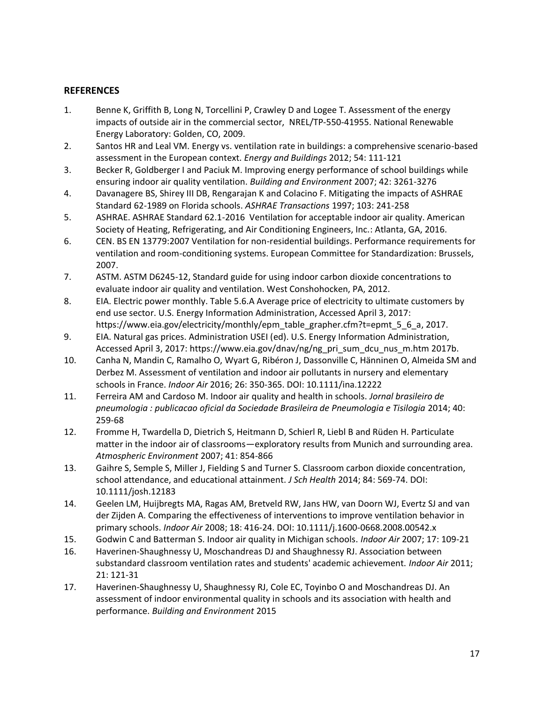## **REFERENCES**

- 1. Benne K, Griffith B, Long N, Torcellini P, Crawley D and Logee T. Assessment of the energy impacts of outside air in the commercial sector, NREL/TP-550-41955. National Renewable Energy Laboratory: Golden, CO, 2009.
- 2. Santos HR and Leal VM. Energy vs. ventilation rate in buildings: a comprehensive scenario-based assessment in the European context. *Energy and Buildings* 2012; 54: 111-121
- 3. Becker R, Goldberger I and Paciuk M. Improving energy performance of school buildings while ensuring indoor air quality ventilation. *Building and Environment* 2007; 42: 3261-3276
- 4. Davanagere BS, Shirey III DB, Rengarajan K and Colacino F. Mitigating the impacts of ASHRAE Standard 62-1989 on Florida schools. *ASHRAE Transactions* 1997; 103: 241-258
- 5. ASHRAE. ASHRAE Standard 62.1-2016 Ventilation for acceptable indoor air quality. American Society of Heating, Refrigerating, and Air Conditioning Engineers, Inc.: Atlanta, GA, 2016.
- 6. CEN. BS EN 13779:2007 Ventilation for non-residential buildings. Performance requirements for ventilation and room-conditioning systems. European Committee for Standardization: Brussels, 2007.
- 7. ASTM. ASTM D6245-12, Standard guide for using indoor carbon dioxide concentrations to evaluate indoor air quality and ventilation. West Conshohocken, PA, 2012.
- 8. EIA. Electric power monthly. Table 5.6.A Average price of electricity to ultimate customers by end use sector. U.S. Energy Information Administration, Accessed April 3, 2017: https://www.eia.gov/electricity/monthly/epm\_table\_grapher.cfm?t=epmt\_5\_6\_a, 2017.
- 9. EIA. Natural gas prices. Administration USEI (ed). U.S. Energy Information Administration, Accessed April 3, 2017: https://www.eia.gov/dnav/ng/ng\_pri\_sum\_dcu\_nus\_m.htm 2017b.
- 10. Canha N, Mandin C, Ramalho O, Wyart G, Ribéron J, Dassonville C, Hänninen O, Almeida SM and Derbez M. Assessment of ventilation and indoor air pollutants in nursery and elementary schools in France. *Indoor Air* 2016; 26: 350-365. DOI: 10.1111/ina.12222
- 11. Ferreira AM and Cardoso M. Indoor air quality and health in schools. *Jornal brasileiro de pneumologia : publicacao oficial da Sociedade Brasileira de Pneumologia e Tisilogia* 2014; 40: 259-68
- 12. Fromme H, Twardella D, Dietrich S, Heitmann D, Schierl R, Liebl B and Rüden H. Particulate matter in the indoor air of classrooms—exploratory results from Munich and surrounding area. *Atmospheric Environment* 2007; 41: 854-866
- 13. Gaihre S, Semple S, Miller J, Fielding S and Turner S. Classroom carbon dioxide concentration, school attendance, and educational attainment. *J Sch Health* 2014; 84: 569-74. DOI: 10.1111/josh.12183
- 14. Geelen LM, Huijbregts MA, Ragas AM, Bretveld RW, Jans HW, van Doorn WJ, Evertz SJ and van der Zijden A. Comparing the effectiveness of interventions to improve ventilation behavior in primary schools. *Indoor Air* 2008; 18: 416-24. DOI: 10.1111/j.1600-0668.2008.00542.x
- 15. Godwin C and Batterman S. Indoor air quality in Michigan schools. *Indoor Air* 2007; 17: 109-21
- 16. Haverinen-Shaughnessy U, Moschandreas DJ and Shaughnessy RJ. Association between substandard classroom ventilation rates and students' academic achievement. *Indoor Air* 2011; 21: 121-31
- 17. Haverinen-Shaughnessy U, Shaughnessy RJ, Cole EC, Toyinbo O and Moschandreas DJ. An assessment of indoor environmental quality in schools and its association with health and performance. *Building and Environment* 2015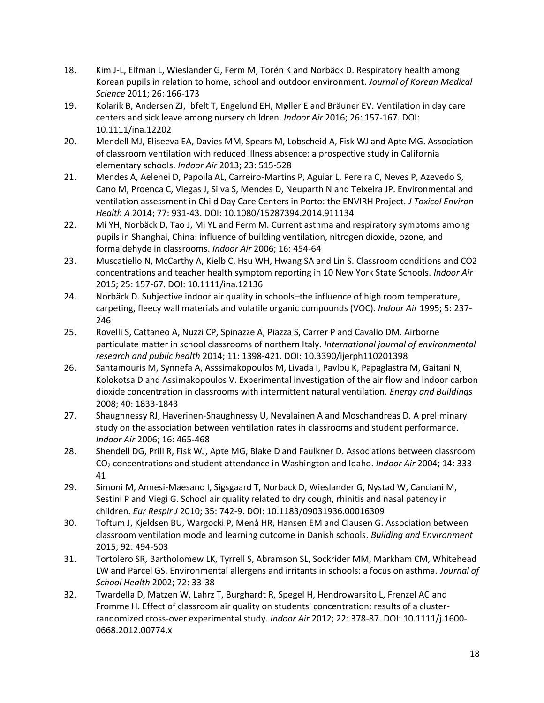- 18. Kim J-L, Elfman L, Wieslander G, Ferm M, Torén K and Norbäck D. Respiratory health among Korean pupils in relation to home, school and outdoor environment. *Journal of Korean Medical Science* 2011; 26: 166-173
- 19. Kolarik B, Andersen ZJ, Ibfelt T, Engelund EH, Møller E and Bräuner EV. Ventilation in day care centers and sick leave among nursery children. *Indoor Air* 2016; 26: 157-167. DOI: 10.1111/ina.12202
- 20. Mendell MJ, Eliseeva EA, Davies MM, Spears M, Lobscheid A, Fisk WJ and Apte MG. Association of classroom ventilation with reduced illness absence: a prospective study in California elementary schools. *Indoor Air* 2013; 23: 515-528
- 21. Mendes A, Aelenei D, Papoila AL, Carreiro-Martins P, Aguiar L, Pereira C, Neves P, Azevedo S, Cano M, Proenca C, Viegas J, Silva S, Mendes D, Neuparth N and Teixeira JP. Environmental and ventilation assessment in Child Day Care Centers in Porto: the ENVIRH Project. *J Toxicol Environ Health A* 2014; 77: 931-43. DOI: 10.1080/15287394.2014.911134
- 22. Mi YH, Norbäck D, Tao J, Mi YL and Ferm M. Current asthma and respiratory symptoms among pupils in Shanghai, China: influence of building ventilation, nitrogen dioxide, ozone, and formaldehyde in classrooms. *Indoor Air* 2006; 16: 454-64
- 23. Muscatiello N, McCarthy A, Kielb C, Hsu WH, Hwang SA and Lin S. Classroom conditions and CO2 concentrations and teacher health symptom reporting in 10 New York State Schools. *Indoor Air*  2015; 25: 157-67. DOI: 10.1111/ina.12136
- 24. Norbäck D. Subjective indoor air quality in schools–the influence of high room temperature, carpeting, fleecy wall materials and volatile organic compounds (VOC). *Indoor Air* 1995; 5: 237- 246
- 25. Rovelli S, Cattaneo A, Nuzzi CP, Spinazze A, Piazza S, Carrer P and Cavallo DM. Airborne particulate matter in school classrooms of northern Italy. *International journal of environmental research and public health* 2014; 11: 1398-421. DOI: 10.3390/ijerph110201398
- 26. Santamouris M, Synnefa A, Asssimakopoulos M, Livada I, Pavlou K, Papaglastra M, Gaitani N, Kolokotsa D and Assimakopoulos V. Experimental investigation of the air flow and indoor carbon dioxide concentration in classrooms with intermittent natural ventilation. *Energy and Buildings*  2008; 40: 1833-1843
- 27. Shaughnessy RJ, Haverinen-Shaughnessy U, Nevalainen A and Moschandreas D. A preliminary study on the association between ventilation rates in classrooms and student performance. *Indoor Air* 2006; 16: 465-468
- 28. Shendell DG, Prill R, Fisk WJ, Apte MG, Blake D and Faulkner D. Associations between classroom CO<sup>2</sup> concentrations and student attendance in Washington and Idaho. *Indoor Air* 2004; 14: 333- 41
- 29. Simoni M, Annesi-Maesano I, Sigsgaard T, Norback D, Wieslander G, Nystad W, Canciani M, Sestini P and Viegi G. School air quality related to dry cough, rhinitis and nasal patency in children. *Eur Respir J* 2010; 35: 742-9. DOI: 10.1183/09031936.00016309
- 30. Toftum J, Kjeldsen BU, Wargocki P, Menå HR, Hansen EM and Clausen G. Association between classroom ventilation mode and learning outcome in Danish schools. *Building and Environment*  2015; 92: 494-503
- 31. Tortolero SR, Bartholomew LK, Tyrrell S, Abramson SL, Sockrider MM, Markham CM, Whitehead LW and Parcel GS. Environmental allergens and irritants in schools: a focus on asthma. *Journal of School Health* 2002; 72: 33-38
- 32. Twardella D, Matzen W, Lahrz T, Burghardt R, Spegel H, Hendrowarsito L, Frenzel AC and Fromme H. Effect of classroom air quality on students' concentration: results of a clusterrandomized cross-over experimental study. *Indoor Air* 2012; 22: 378-87. DOI: 10.1111/j.1600- 0668.2012.00774.x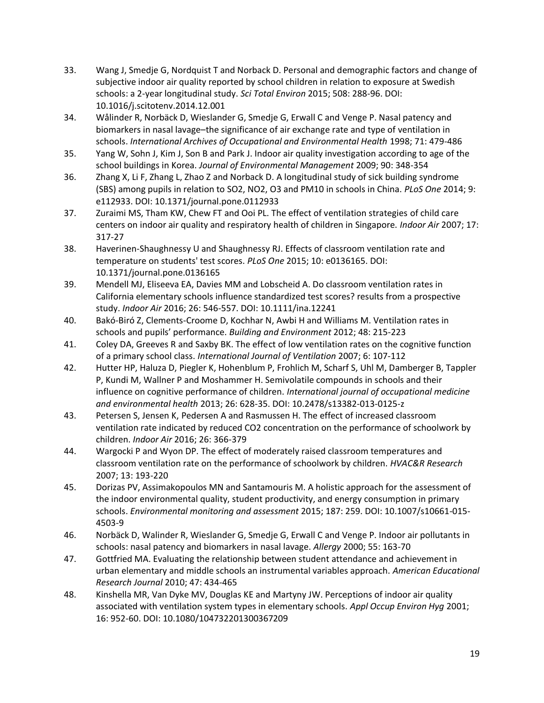- 33. Wang J, Smedje G, Nordquist T and Norback D. Personal and demographic factors and change of subjective indoor air quality reported by school children in relation to exposure at Swedish schools: a 2-year longitudinal study. *Sci Total Environ* 2015; 508: 288-96. DOI: 10.1016/j.scitotenv.2014.12.001
- 34. Wålinder R, Norbäck D, Wieslander G, Smedje G, Erwall C and Venge P. Nasal patency and biomarkers in nasal lavage–the significance of air exchange rate and type of ventilation in schools. *International Archives of Occupational and Environmental Health* 1998; 71: 479-486
- 35. Yang W, Sohn J, Kim J, Son B and Park J. Indoor air quality investigation according to age of the school buildings in Korea. *Journal of Environmental Management* 2009; 90: 348-354
- 36. Zhang X, Li F, Zhang L, Zhao Z and Norback D. A longitudinal study of sick building syndrome (SBS) among pupils in relation to SO2, NO2, O3 and PM10 in schools in China. *PLoS One* 2014; 9: e112933. DOI: 10.1371/journal.pone.0112933
- 37. Zuraimi MS, Tham KW, Chew FT and Ooi PL. The effect of ventilation strategies of child care centers on indoor air quality and respiratory health of children in Singapore. *Indoor Air* 2007; 17: 317-27
- 38. Haverinen-Shaughnessy U and Shaughnessy RJ. Effects of classroom ventilation rate and temperature on students' test scores. *PLoS One* 2015; 10: e0136165. DOI: 10.1371/journal.pone.0136165
- 39. Mendell MJ, Eliseeva EA, Davies MM and Lobscheid A. Do classroom ventilation rates in California elementary schools influence standardized test scores? results from a prospective study. *Indoor Air* 2016; 26: 546-557. DOI: 10.1111/ina.12241
- 40. Bakó-Biró Z, Clements-Croome D, Kochhar N, Awbi H and Williams M. Ventilation rates in schools and pupils' performance. *Building and Environment* 2012; 48: 215-223
- 41. Coley DA, Greeves R and Saxby BK. The effect of low ventilation rates on the cognitive function of a primary school class. *International Journal of Ventilation* 2007; 6: 107-112
- 42. Hutter HP, Haluza D, Piegler K, Hohenblum P, Frohlich M, Scharf S, Uhl M, Damberger B, Tappler P, Kundi M, Wallner P and Moshammer H. Semivolatile compounds in schools and their influence on cognitive performance of children. *International journal of occupational medicine and environmental health* 2013; 26: 628-35. DOI: 10.2478/s13382-013-0125-z
- 43. Petersen S, Jensen K, Pedersen A and Rasmussen H. The effect of increased classroom ventilation rate indicated by reduced CO2 concentration on the performance of schoolwork by children. *Indoor Air* 2016; 26: 366-379
- 44. Wargocki P and Wyon DP. The effect of moderately raised classroom temperatures and classroom ventilation rate on the performance of schoolwork by children. *HVAC&R Research*  2007; 13: 193-220
- 45. Dorizas PV, Assimakopoulos MN and Santamouris M. A holistic approach for the assessment of the indoor environmental quality, student productivity, and energy consumption in primary schools. *Environmental monitoring and assessment* 2015; 187: 259. DOI: 10.1007/s10661-015- 4503-9
- 46. Norbäck D, Walinder R, Wieslander G, Smedje G, Erwall C and Venge P. Indoor air pollutants in schools: nasal patency and biomarkers in nasal lavage. *Allergy* 2000; 55: 163-70
- 47. Gottfried MA. Evaluating the relationship between student attendance and achievement in urban elementary and middle schools an instrumental variables approach. *American Educational Research Journal* 2010; 47: 434-465
- 48. Kinshella MR, Van Dyke MV, Douglas KE and Martyny JW. Perceptions of indoor air quality associated with ventilation system types in elementary schools. *Appl Occup Environ Hyg* 2001; 16: 952-60. DOI: 10.1080/104732201300367209